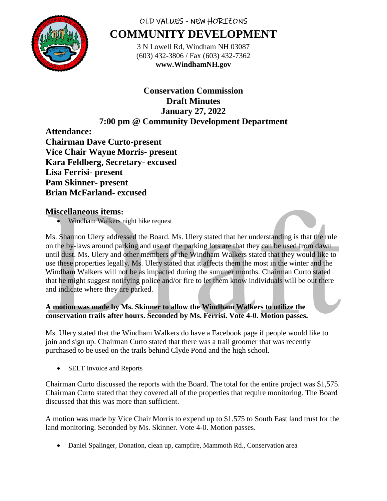

# OLD VALUES - NEW HORIZONS **COMMUNITY DEVELOPMENT**

3 N Lowell Rd, Windham NH 03087 (603) 432-3806 / Fax (603) 432-7362 **www.WindhamNH.gov**

# **Conservation Commission Draft Minutes January 27, 2022 7:00 pm @ Community Development Department**

**Attendance: Chairman Dave Curto-present Vice Chair Wayne Morris- present Kara Feldberg, Secretary- excused Lisa Ferrisi- present Pam Skinner- present Brian McFarland- excused**

# **Miscellaneous items:**

• Windham Walkers night hike request

Ms. Shannon Ulery addressed the Board. Ms. Ulery stated that her understanding is that the rule on the by-laws around parking and use of the parking lots are that they can be used from dawn until dust. Ms. Ulery and other members of the Windham Walkers stated that they would like to use these properties legally. Ms. Ulery stated that it affects them the most in the winter and the Windham Walkers will not be as impacted during the summer months. Chairman Curto stated that he might suggest notifying police and/or fire to let them know individuals will be out there and indicate where they are parked.

# **A motion was made by Ms. Skinner to allow the Windham Walkers to utilize the conservation trails after hours. Seconded by Ms. Ferrisi. Vote 4-0. Motion passes.**

Ms. Ulery stated that the Windham Walkers do have a Facebook page if people would like to join and sign up. Chairman Curto stated that there was a trail groomer that was recently purchased to be used on the trails behind Clyde Pond and the high school.

• SELT Invoice and Reports

Chairman Curto discussed the reports with the Board. The total for the entire project was \$1,575. Chairman Curto stated that they covered all of the properties that require monitoring. The Board discussed that this was more than sufficient.

A motion was made by Vice Chair Morris to expend up to \$1.575 to South East land trust for the land monitoring. Seconded by Ms. Skinner. Vote 4-0. Motion passes.

Daniel Spalinger, Donation, clean up, campfire, Mammoth Rd., Conservation area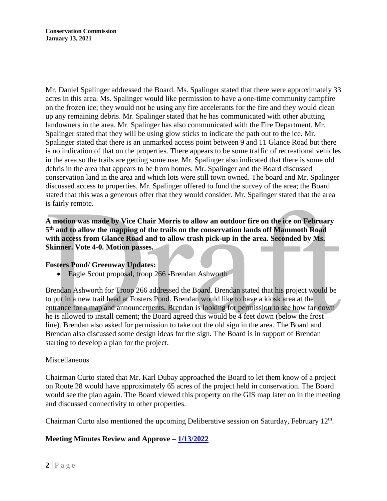Mr. Daniel Spalinger addressed the Board. Ms. Spalinger stated that there were approximately 33 acres in this area. Ms. Spalinger would like permission to have a one-time community campfire on the frozen ice; they would not be using any fire accelerants for the fire and they would clean up any remaining debris. Mr. Spalinger stated that he has communicated with other abutting landowners in the area. Mr. Spalinger has also communicated with the Fire Department. Mr. Spalinger stated that they will be using glow sticks to indicate the path out to the ice. Mr. Spalinger stated that there is an unmarked access point between 9 and 11 Glance Road but there is no indication of that on the properties. There appears to be some traffic of recreational vehicles in the area so the trails are getting some use. Mr. Spalinger also indicated that there is some old debris in the area that appears to be from homes. Mr. Spalinger and the Board discussed conservation land in the area and which lots were still town owned. The board and Mr. Spalinger discussed access to properties. Mr. Spalinger offered to fund the survey of the area; the Board stated that this was a generous offer that they would consider. Mr. Spalinger stated that the area is fairly remote.

**A motion was made by Vice Chair Morris to allow an outdoor fire on the ice on February 5 th and to allow the mapping of the trails on the conservation lands off Mammoth Road with access from Glance Road and to allow trash pick-up in the area. Seconded by Ms. Skinner. Vote 4-0. Motion passes.** 

## **Fosters Pond/ Greenway Updates:**

Eagle Scout proposal, troop 266 -Brendan Ashworth

Brendan Ashworth for Troop 266 addressed the Board. Brendan stated that his project would be to put in a new trail head at Fosters Pond. Brendan would like to have a kiosk area at the entrance for a map and announcements. Brendan is looking for permission to see how far down he is allowed to install cement; the Board agreed this would be  $\overline{4}$  feet down (below the frost line). Brendan also asked for permission to take out the old sign in the area. The Board and Brendan also discussed some design ideas for the sign. The Board is in support of Brendan starting to develop a plan for the project.

## Miscellaneous

Chairman Curto stated that Mr. Karl Dubay approached the Board to let them know of a project on Route 28 would have approximately 65 acres of the project held in conservation. The Board would see the plan again. The Board viewed this property on the GIS map later on in the meeting and discussed connectivity to other properties.

Chairman Curto also mentioned the upcoming Deliberative session on Saturday, February 12<sup>th</sup>.

# **Meeting Minutes Review and Approve – [1/13/2022](https://www.windhamnh.gov/DocumentCenter/Index/825)**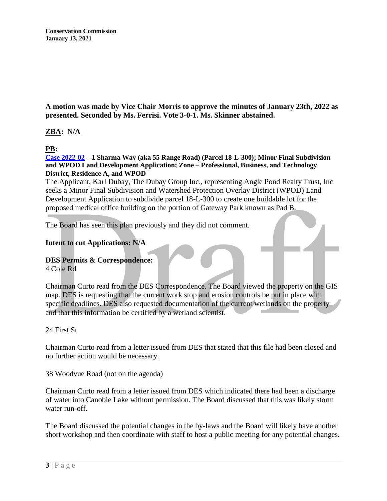**Conservation Commission January 13, 2021**

**A motion was made by Vice Chair Morris to approve the minutes of January 23th, 2022 as presented. Seconded by Ms. Ferrisi. Vote 3-0-1. Ms. Skinner abstained.** 

## **ZBA: N/A**

## **PB:**

**[Case 2022-02](https://www.windhamnh.gov/DocumentCenter/Index/894) – 1 Sharma Way (aka 55 Range Road) (Parcel 18-L-300); Minor Final Subdivision and WPOD Land Development Application; Zone – Professional, Business, and Technology District, Residence A, and WPOD**

The Applicant, Karl Dubay, The Dubay Group Inc., representing Angle Pond Realty Trust, Inc seeks a Minor Final Subdivision and Watershed Protection Overlay District (WPOD) Land Development Application to subdivide parcel 18-L-300 to create one buildable lot for the proposed medical office building on the portion of Gateway Park known as Pad B.

The Board has seen this plan previously and they did not comment.

#### **Intent to cut Applications: N/A**

# **DES Permits & Correspondence:**

4 Cole Rd

Chairman Curto read from the DES Correspondence. The Board viewed the property on the GIS map. DES is requesting that the current work stop and erosion controls be put in place with specific deadlines. DES also requested documentation of the current wetlands on the property and that this information be certified by a wetland scientist.

## 24 First St

Chairman Curto read from a letter issued from DES that stated that this file had been closed and no further action would be necessary.

38 Woodvue Road (not on the agenda)

Chairman Curto read from a letter issued from DES which indicated there had been a discharge of water into Canobie Lake without permission. The Board discussed that this was likely storm water run-off.

The Board discussed the potential changes in the by-laws and the Board will likely have another short workshop and then coordinate with staff to host a public meeting for any potential changes.